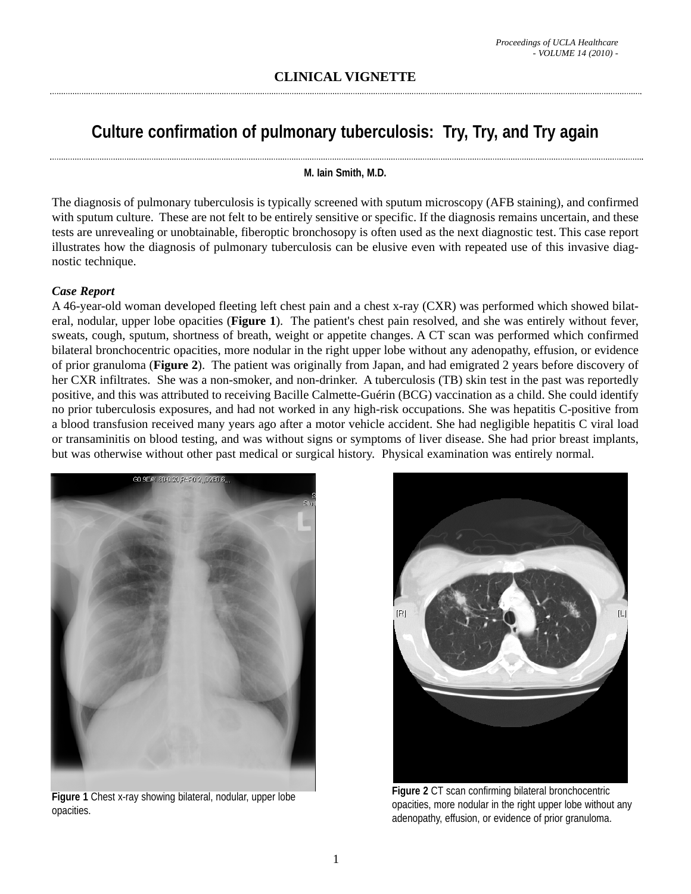# **Culture confirmation of pulmonary tuberculosis: Try, Try, and Try again**

#### **M. Iain Smith, M.D.**

The diagnosis of pulmonary tuberculosis is typically screened with sputum microscopy (AFB staining), and confirmed with sputum culture. These are not felt to be entirely sensitive or specific. If the diagnosis remains uncertain, and these tests are unrevealing or unobtainable, fiberoptic bronchosopy is often used as the next diagnostic test. This case report illustrates how the diagnosis of pulmonary tuberculosis can be elusive even with repeated use of this invasive diagnostic technique.

## *Case Report*

A 46-year-old woman developed fleeting left chest pain and a chest x-ray (CXR) was performed which showed bilateral, nodular, upper lobe opacities (**Figure 1**). The patient's chest pain resolved, and she was entirely without fever, sweats, cough, sputum, shortness of breath, weight or appetite changes. A CT scan was performed which confirmed bilateral bronchocentric opacities, more nodular in the right upper lobe without any adenopathy, effusion, or evidence of prior granuloma (**Figure 2**). The patient was originally from Japan, and had emigrated 2 years before discovery of her CXR infiltrates. She was a non-smoker, and non-drinker. A tuberculosis (TB) skin test in the past was reportedly positive, and this was attributed to receiving Bacille Calmette-Guérin (BCG) vaccination as a child. She could identify no prior tuberculosis exposures, and had not worked in any high-risk occupations. She was hepatitis C-positive from a blood transfusion received many years ago after a motor vehicle accident. She had negligible hepatitis C viral load or transaminitis on blood testing, and was without signs or symptoms of liver disease. She had prior breast implants, but was otherwise without other past medical or surgical history. Physical examination was entirely normal.



**Figure 1** Chest x-ray showing bilateral, nodular, upper lobe opacities.



**Figure 2** CT scan confirming bilateral bronchocentric opacities, more nodular in the right upper lobe without any adenopathy, effusion, or evidence of prior granuloma.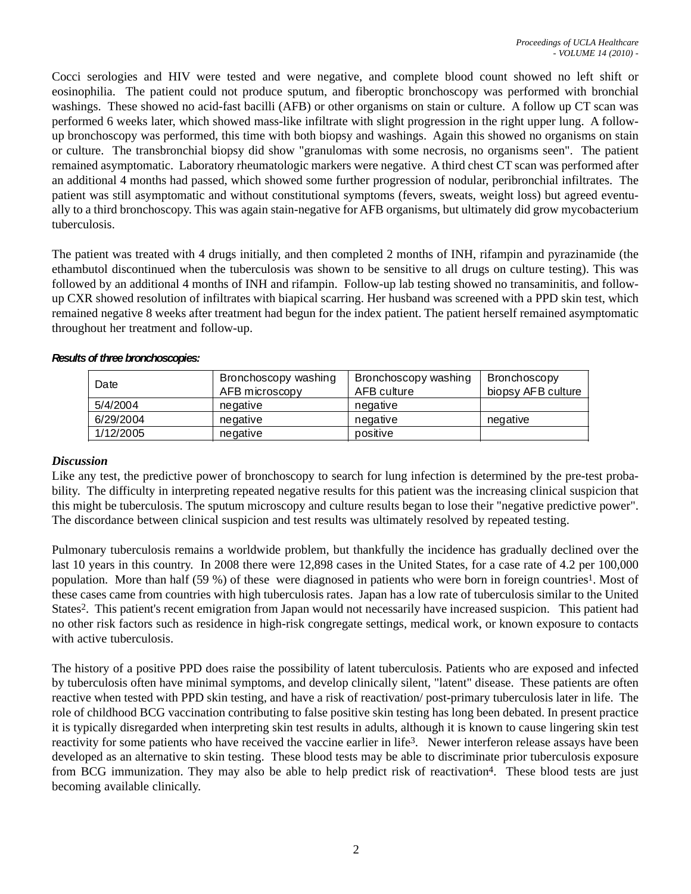Cocci serologies and HIV were tested and were negative, and complete blood count showed no left shift or eosinophilia. The patient could not produce sputum, and fiberoptic bronchoscopy was performed with bronchial washings. These showed no acid-fast bacilli (AFB) or other organisms on stain or culture. A follow up CT scan was performed 6 weeks later, which showed mass-like infiltrate with slight progression in the right upper lung. A followup bronchoscopy was performed, this time with both biopsy and washings. Again this showed no organisms on stain or culture. The transbronchial biopsy did show "granulomas with some necrosis, no organisms seen". The patient remained asymptomatic. Laboratory rheumatologic markers were negative. A third chest CT scan was performed after an additional 4 months had passed, which showed some further progression of nodular, peribronchial infiltrates. The patient was still asymptomatic and without constitutional symptoms (fevers, sweats, weight loss) but agreed eventually to a third bronchoscopy. This was again stain-negative for AFB organisms, but ultimately did grow mycobacterium tuberculosis.

The patient was treated with 4 drugs initially, and then completed 2 months of INH, rifampin and pyrazinamide (the ethambutol discontinued when the tuberculosis was shown to be sensitive to all drugs on culture testing). This was followed by an additional 4 months of INH and rifampin. Follow-up lab testing showed no transaminitis, and followup CXR showed resolution of infiltrates with biapical scarring. Her husband was screened with a PPD skin test, which remained negative 8 weeks after treatment had begun for the index patient. The patient herself remained asymptomatic throughout her treatment and follow-up.

| Date      | Bronchoscopy washing<br>AFB microscopy | Bronchoscopy washing<br>AFB culture | Bronchoscopy<br>biopsy AFB culture |
|-----------|----------------------------------------|-------------------------------------|------------------------------------|
| 5/4/2004  | negative                               | negative                            |                                    |
| 6/29/2004 | negative                               | negative                            | negative                           |
| 1/12/2005 | negative                               | positive                            |                                    |

*Results of three bronchoscopies:*

## *Discussion*

Like any test, the predictive power of bronchoscopy to search for lung infection is determined by the pre-test probability. The difficulty in interpreting repeated negative results for this patient was the increasing clinical suspicion that this might be tuberculosis. The sputum microscopy and culture results began to lose their "negative predictive power". The discordance between clinical suspicion and test results was ultimately resolved by repeated testing.

Pulmonary tuberculosis remains a worldwide problem, but thankfully the incidence has gradually declined over the last 10 years in this country. In 2008 there were 12,898 cases in the United States, for a case rate of 4.2 per 100,000 population. More than half (59 %) of these were diagnosed in patients who were born in foreign countries1. Most of these cases came from countries with high tuberculosis rates. Japan has a low rate of tuberculosis similar to the United States2. This patient's recent emigration from Japan would not necessarily have increased suspicion. This patient had no other risk factors such as residence in high-risk congregate settings, medical work, or known exposure to contacts with active tuberculosis.

The history of a positive PPD does raise the possibility of latent tuberculosis. Patients who are exposed and infected by tuberculosis often have minimal symptoms, and develop clinically silent, "latent" disease. These patients are often reactive when tested with PPD skin testing, and have a risk of reactivation/ post-primary tuberculosis later in life. The role of childhood BCG vaccination contributing to false positive skin testing has long been debated. In present practice it is typically disregarded when interpreting skin test results in adults, although it is known to cause lingering skin test reactivity for some patients who have received the vaccine earlier in life3. Newer interferon release assays have been developed as an alternative to skin testing. These blood tests may be able to discriminate prior tuberculosis exposure from BCG immunization. They may also be able to help predict risk of reactivation4. These blood tests are just becoming available clinically.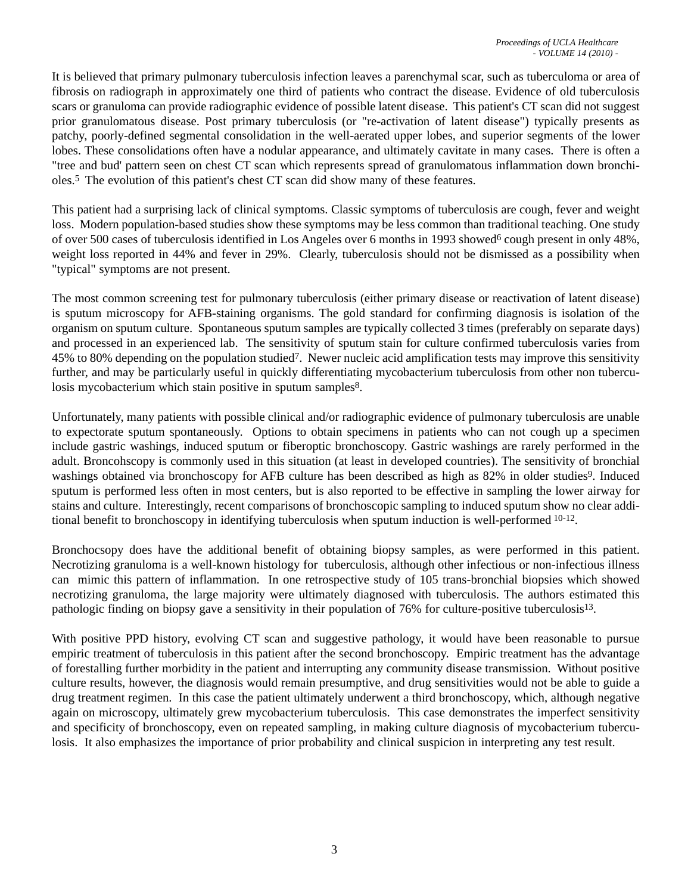It is believed that primary pulmonary tuberculosis infection leaves a parenchymal scar, such as tuberculoma or area of fibrosis on radiograph in approximately one third of patients who contract the disease. Evidence of old tuberculosis scars or granuloma can provide radiographic evidence of possible latent disease. This patient's CT scan did not suggest prior granulomatous disease. Post primary tuberculosis (or "re-activation of latent disease") typically presents as patchy, poorly-defined segmental consolidation in the well-aerated upper lobes, and superior segments of the lower lobes. These consolidations often have a nodular appearance, and ultimately cavitate in many cases. There is often a "tree and bud' pattern seen on chest CT scan which represents spread of granulomatous inflammation down bronchioles.5 The evolution of this patient's chest CT scan did show many of these features.

This patient had a surprising lack of clinical symptoms. Classic symptoms of tuberculosis are cough, fever and weight loss. Modern population-based studies show these symptoms may be less common than traditional teaching. One study of over 500 cases of tuberculosis identified in Los Angeles over 6 months in 1993 showed<sup>6</sup> cough present in only 48%, weight loss reported in 44% and fever in 29%. Clearly, tuberculosis should not be dismissed as a possibility when "typical" symptoms are not present.

The most common screening test for pulmonary tuberculosis (either primary disease or reactivation of latent disease) is sputum microscopy for AFB-staining organisms. The gold standard for confirming diagnosis is isolation of the organism on sputum culture. Spontaneous sputum samples are typically collected 3 times (preferably on separate days) and processed in an experienced lab. The sensitivity of sputum stain for culture confirmed tuberculosis varies from 45% to 80% depending on the population studied7. Newer nucleic acid amplification tests may improve this sensitivity further, and may be particularly useful in quickly differentiating mycobacterium tuberculosis from other non tuberculosis mycobacterium which stain positive in sputum samples<sup>8</sup>.

Unfortunately, many patients with possible clinical and/or radiographic evidence of pulmonary tuberculosis are unable to expectorate sputum spontaneously. Options to obtain specimens in patients who can not cough up a specimen include gastric washings, induced sputum or fiberoptic bronchoscopy. Gastric washings are rarely performed in the adult. Broncohscopy is commonly used in this situation (at least in developed countries). The sensitivity of bronchial washings obtained via bronchoscopy for AFB culture has been described as high as 82% in older studies<sup>9</sup>. Induced sputum is performed less often in most centers, but is also reported to be effective in sampling the lower airway for stains and culture. Interestingly, recent comparisons of bronchoscopic sampling to induced sputum show no clear additional benefit to bronchoscopy in identifying tuberculosis when sputum induction is well-performed 10-12.

Bronchocsopy does have the additional benefit of obtaining biopsy samples, as were performed in this patient. Necrotizing granuloma is a well-known histology for tuberculosis, although other infectious or non-infectious illness can mimic this pattern of inflammation. In one retrospective study of 105 trans-bronchial biopsies which showed necrotizing granuloma, the large majority were ultimately diagnosed with tuberculosis. The authors estimated this pathologic finding on biopsy gave a sensitivity in their population of 76% for culture-positive tuberculosis13.

With positive PPD history, evolving CT scan and suggestive pathology, it would have been reasonable to pursue empiric treatment of tuberculosis in this patient after the second bronchoscopy. Empiric treatment has the advantage of forestalling further morbidity in the patient and interrupting any community disease transmission. Without positive culture results, however, the diagnosis would remain presumptive, and drug sensitivities would not be able to guide a drug treatment regimen. In this case the patient ultimately underwent a third bronchoscopy, which, although negative again on microscopy, ultimately grew mycobacterium tuberculosis. This case demonstrates the imperfect sensitivity and specificity of bronchoscopy, even on repeated sampling, in making culture diagnosis of mycobacterium tuberculosis. It also emphasizes the importance of prior probability and clinical suspicion in interpreting any test result.